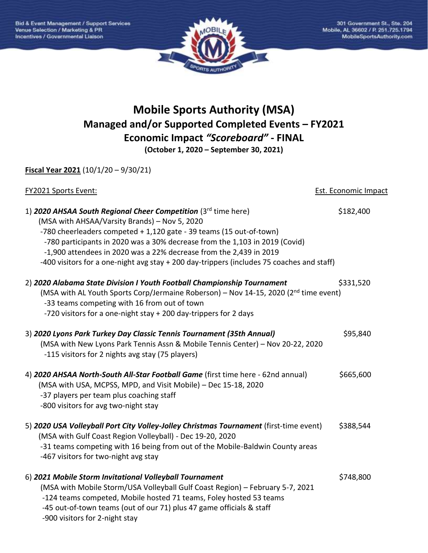

## **Mobile Sports Authority (MSA) Managed and/or Supported Completed Events – FY2021 Economic Impact** *"Scoreboard"* **- FINAL**

**(October 1, 2020 – September 30, 2021)**

**Fiscal Year 2021** (10/1/20 – 9/30/21)

| <b>FY2021 Sports Event:</b>                                                                                                                                                                                                                                                                                                                                                                                                                   | <b>Est. Economic Impact</b> |
|-----------------------------------------------------------------------------------------------------------------------------------------------------------------------------------------------------------------------------------------------------------------------------------------------------------------------------------------------------------------------------------------------------------------------------------------------|-----------------------------|
| 1) 2020 AHSAA South Regional Cheer Competition $(3^{rd}$ time here)<br>(MSA with AHSAA/Varsity Brands) - Nov 5, 2020<br>-780 cheerleaders competed + 1,120 gate - 39 teams (15 out-of-town)<br>-780 participants in 2020 was a 30% decrease from the 1,103 in 2019 (Covid)<br>-1,900 attendees in 2020 was a 22% decrease from the 2,439 in 2019<br>-400 visitors for a one-night avg stay + 200 day-trippers (includes 75 coaches and staff) | \$182,400                   |
| 2) 2020 Alabama State Division I Youth Football Championship Tournament<br>(MSA with AL Youth Sports Corp/Jermaine Roberson) - Nov 14-15, 2020 (2 <sup>nd</sup> time event)<br>-33 teams competing with 16 from out of town<br>-720 visitors for a one-night stay + 200 day-trippers for 2 days                                                                                                                                               | \$331,520                   |
| 3) 2020 Lyons Park Turkey Day Classic Tennis Tournament (35th Annual)<br>(MSA with New Lyons Park Tennis Assn & Mobile Tennis Center) - Nov 20-22, 2020<br>-115 visitors for 2 nights avg stay (75 players)                                                                                                                                                                                                                                   | \$95,840                    |
| 4) 2020 AHSAA North-South All-Star Football Game (first time here - 62nd annual)<br>(MSA with USA, MCPSS, MPD, and Visit Mobile) - Dec 15-18, 2020<br>-37 players per team plus coaching staff<br>-800 visitors for avg two-night stay                                                                                                                                                                                                        | \$665,600                   |
| 5) 2020 USA Volleyball Port City Volley-Jolley Christmas Tournament (first-time event)<br>(MSA with Gulf Coast Region Volleyball) - Dec 19-20, 2020<br>-31 teams competing with 16 being from out of the Mobile-Baldwin County areas<br>-467 visitors for two-night avg stay                                                                                                                                                                  | \$388,544                   |
| 6) 2021 Mobile Storm Invitational Volleyball Tournament<br>(MSA with Mobile Storm/USA Volleyball Gulf Coast Region) - February 5-7, 2021<br>-124 teams competed, Mobile hosted 71 teams, Foley hosted 53 teams<br>-45 out-of-town teams (out of our 71) plus 47 game officials & staff<br>-900 visitors for 2-night stay                                                                                                                      | \$748,800                   |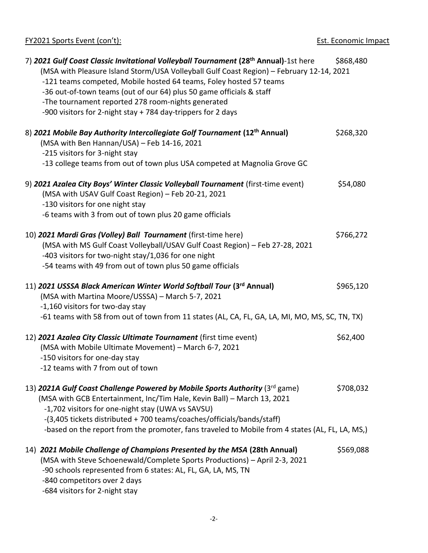FY2021 Sports Event (con't): Est. Economic Impact

| 7) 2021 Gulf Coast Classic Invitational Volleyball Tournament (28 <sup>th</sup> Annual)-1st here<br>(MSA with Pleasure Island Storm/USA Volleyball Gulf Coast Region) - February 12-14, 2021<br>-121 teams competed, Mobile hosted 64 teams, Foley hosted 57 teams<br>-36 out-of-town teams (out of our 64) plus 50 game officials & staff<br>-The tournament reported 278 room-nights generated<br>-900 visitors for 2-night stay + 784 day-trippers for 2 days | \$868,480 |
|------------------------------------------------------------------------------------------------------------------------------------------------------------------------------------------------------------------------------------------------------------------------------------------------------------------------------------------------------------------------------------------------------------------------------------------------------------------|-----------|
| 8) 2021 Mobile Bay Authority Intercollegiate Golf Tournament (12th Annual)<br>(MSA with Ben Hannan/USA) - Feb 14-16, 2021<br>-215 visitors for 3-night stay<br>-13 college teams from out of town plus USA competed at Magnolia Grove GC                                                                                                                                                                                                                         | \$268,320 |
| 9) 2021 Azalea City Boys' Winter Classic Volleyball Tournament (first-time event)<br>(MSA with USAV Gulf Coast Region) - Feb 20-21, 2021<br>-130 visitors for one night stay<br>-6 teams with 3 from out of town plus 20 game officials                                                                                                                                                                                                                          | \$54,080  |
| 10) 2021 Mardi Gras (Volley) Ball Tournament (first-time here)<br>(MSA with MS Gulf Coast Volleyball/USAV Gulf Coast Region) - Feb 27-28, 2021<br>-403 visitors for two-night stay/1,036 for one night<br>-54 teams with 49 from out of town plus 50 game officials                                                                                                                                                                                              | \$766,272 |
| 11) 2021 USSSA Black American Winter World Softball Tour (3rd Annual)<br>(MSA with Martina Moore/USSSA) - March 5-7, 2021<br>-1,160 visitors for two-day stay<br>-61 teams with 58 from out of town from 11 states (AL, CA, FL, GA, LA, MI, MO, MS, SC, TN, TX)                                                                                                                                                                                                  | \$965,120 |
| 12) 2021 Azalea City Classic Ultimate Tournament (first time event)<br>(MSA with Mobile Ultimate Movement) - March 6-7, 2021<br>-150 visitors for one-day stay<br>-12 teams with 7 from out of town                                                                                                                                                                                                                                                              | \$62,400  |
| 13) 2021A Gulf Coast Challenge Powered by Mobile Sports Authority ( $3rd$ game)<br>(MSA with GCB Entertainment, Inc/Tim Hale, Kevin Ball) - March 13, 2021<br>-1,702 visitors for one-night stay (UWA vs SAVSU)<br>-(3,405 tickets distributed + 700 teams/coaches/officials/bands/staff)<br>-based on the report from the promoter, fans traveled to Mobile from 4 states (AL, FL, LA, MS,)                                                                     | \$708,032 |
| 14) 2021 Mobile Challenge of Champions Presented by the MSA (28th Annual)<br>(MSA with Steve Schoenewald/Complete Sports Productions) - April 2-3, 2021<br>-90 schools represented from 6 states: AL, FL, GA, LA, MS, TN<br>-840 competitors over 2 days                                                                                                                                                                                                         | \$569,088 |

-684 visitors for 2-night stay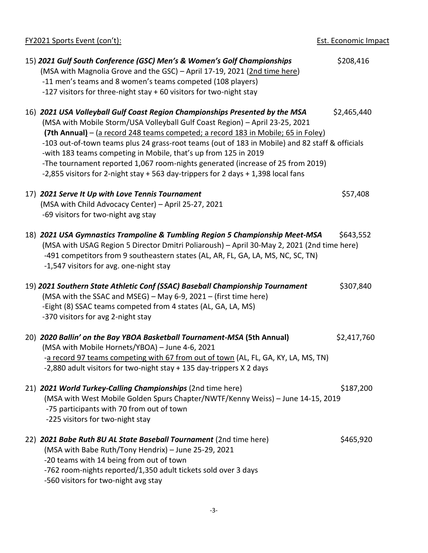| <b>FY2021 Sports Event (con't):</b>                                                                                                                                                                                                                                                                                                                                                                                                                                                                                                                                                             | <b>Est. Economic Impact</b> |
|-------------------------------------------------------------------------------------------------------------------------------------------------------------------------------------------------------------------------------------------------------------------------------------------------------------------------------------------------------------------------------------------------------------------------------------------------------------------------------------------------------------------------------------------------------------------------------------------------|-----------------------------|
| 15) 2021 Gulf South Conference (GSC) Men's & Women's Golf Championships<br>(MSA with Magnolia Grove and the GSC) - April 17-19, 2021 (2nd time here)<br>-11 men's teams and 8 women's teams competed (108 players)<br>-127 visitors for three-night stay + 60 visitors for two-night stay                                                                                                                                                                                                                                                                                                       | \$208,416                   |
| 16) 2021 USA Volleyball Gulf Coast Region Championships Presented by the MSA<br>(MSA with Mobile Storm/USA Volleyball Gulf Coast Region) - April 23-25, 2021<br>(7th Annual) - (a record 248 teams competed; a record 183 in Mobile; 65 in Foley)<br>-103 out-of-town teams plus 24 grass-root teams (out of 183 in Mobile) and 82 staff & officials<br>-with 183 teams competing in Mobile, that's up from 125 in 2019<br>-The tournament reported 1,067 room-nights generated (increase of 25 from 2019)<br>-2,855 visitors for 2-night stay + 563 day-trippers for 2 days + 1,398 local fans | \$2,465,440                 |
| 17) 2021 Serve It Up with Love Tennis Tournament<br>(MSA with Child Advocacy Center) - April 25-27, 2021<br>-69 visitors for two-night avg stay                                                                                                                                                                                                                                                                                                                                                                                                                                                 | \$57,408                    |
| 18) 2021 USA Gymnastics Trampoline & Tumbling Region 5 Championship Meet-MSA<br>(MSA with USAG Region 5 Director Dmitri Poliaroush) - April 30-May 2, 2021 (2nd time here)<br>-491 competitors from 9 southeastern states (AL, AR, FL, GA, LA, MS, NC, SC, TN)<br>-1,547 visitors for avg. one-night stay                                                                                                                                                                                                                                                                                       | \$643,552                   |
| 19) 2021 Southern State Athletic Conf (SSAC) Baseball Championship Tournament<br>(MSA with the SSAC and MSEG) - May 6-9, 2021 - (first time here)<br>-Eight (8) SSAC teams competed from 4 states (AL, GA, LA, MS)<br>-370 visitors for avg 2-night stay                                                                                                                                                                                                                                                                                                                                        | \$307,840                   |
| 20) 2020 Ballin' on the Bay YBOA Basketball Tournament-MSA (5th Annual)<br>(MSA with Mobile Hornets/YBOA) - June 4-6, 2021<br>-a record 97 teams competing with 67 from out of town (AL, FL, GA, KY, LA, MS, TN)<br>-2,880 adult visitors for two-night stay + 135 day-trippers X 2 days                                                                                                                                                                                                                                                                                                        | \$2,417,760                 |
| 21) 2021 World Turkey-Calling Championships (2nd time here)<br>(MSA with West Mobile Golden Spurs Chapter/NWTF/Kenny Weiss) - June 14-15, 2019<br>-75 participants with 70 from out of town<br>-225 visitors for two-night stay                                                                                                                                                                                                                                                                                                                                                                 | \$187,200                   |
| 22) 2021 Babe Ruth 8U AL State Baseball Tournament (2nd time here)<br>(MSA with Babe Ruth/Tony Hendrix) - June 25-29, 2021<br>-20 teams with 14 being from out of town<br>-762 room-nights reported/1,350 adult tickets sold over 3 days<br>-560 visitors for two-night avg stay                                                                                                                                                                                                                                                                                                                | \$465,920                   |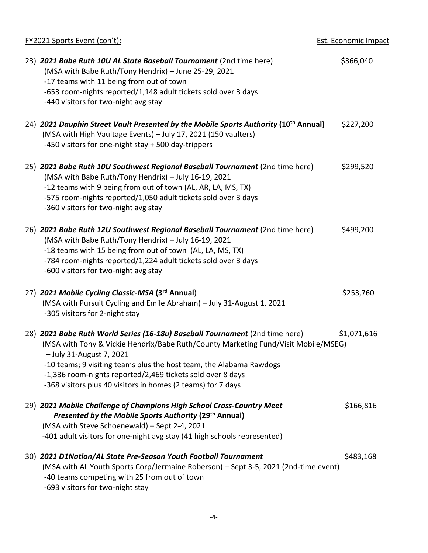| <b>FY2021 Sports Event (con't):</b>                                                                                                                                                                                                                                                                                                                                                                 | Est. Economic Impact |
|-----------------------------------------------------------------------------------------------------------------------------------------------------------------------------------------------------------------------------------------------------------------------------------------------------------------------------------------------------------------------------------------------------|----------------------|
| 23) 2021 Babe Ruth 10U AL State Baseball Tournament (2nd time here)<br>(MSA with Babe Ruth/Tony Hendrix) - June 25-29, 2021<br>-17 teams with 11 being from out of town<br>-653 room-nights reported/1,148 adult tickets sold over 3 days<br>-440 visitors for two-night avg stay                                                                                                                   | \$366,040            |
| 24) 2021 Dauphin Street Vault Presented by the Mobile Sports Authority (10 <sup>th</sup> Annual)<br>(MSA with High Vaultage Events) - July 17, 2021 (150 vaulters)<br>-450 visitors for one-night stay + 500 day-trippers                                                                                                                                                                           | \$227,200            |
| 25) 2021 Babe Ruth 10U Southwest Regional Baseball Tournament (2nd time here)<br>(MSA with Babe Ruth/Tony Hendrix) - July 16-19, 2021<br>-12 teams with 9 being from out of town (AL, AR, LA, MS, TX)<br>-575 room-nights reported/1,050 adult tickets sold over 3 days<br>-360 visitors for two-night avg stay                                                                                     | \$299,520            |
| 26) 2021 Babe Ruth 12U Southwest Regional Baseball Tournament (2nd time here)<br>(MSA with Babe Ruth/Tony Hendrix) - July 16-19, 2021<br>-18 teams with 15 being from out of town (AL, LA, MS, TX)<br>-784 room-nights reported/1,224 adult tickets sold over 3 days<br>-600 visitors for two-night avg stay                                                                                        | \$499,200            |
| 27) 2021 Mobile Cycling Classic-MSA (3rd Annual)<br>(MSA with Pursuit Cycling and Emile Abraham) - July 31-August 1, 2021<br>-305 visitors for 2-night stay                                                                                                                                                                                                                                         | \$253,760            |
| 28) 2021 Babe Ruth World Series (16-18u) Baseball Tournament (2nd time here)<br>(MSA with Tony & Vickie Hendrix/Babe Ruth/County Marketing Fund/Visit Mobile/MSEG)<br>- July 31-August 7, 2021<br>-10 teams; 9 visiting teams plus the host team, the Alabama Rawdogs<br>-1,336 room-nights reported/2,469 tickets sold over 8 days<br>-368 visitors plus 40 visitors in homes (2 teams) for 7 days | \$1,071,616          |
| 29) 2021 Mobile Challenge of Champions High School Cross-Country Meet<br>Presented by the Mobile Sports Authority (29 <sup>th</sup> Annual)<br>(MSA with Steve Schoenewald) - Sept 2-4, 2021<br>-401 adult visitors for one-night avg stay (41 high schools represented)                                                                                                                            | \$166,816            |
| 30) 2021 D1Nation/AL State Pre-Season Youth Football Tournament<br>(MSA with AL Youth Sports Corp/Jermaine Roberson) - Sept 3-5, 2021 (2nd-time event)<br>-40 teams competing with 25 from out of town<br>-693 visitors for two-night stay                                                                                                                                                          | \$483,168            |